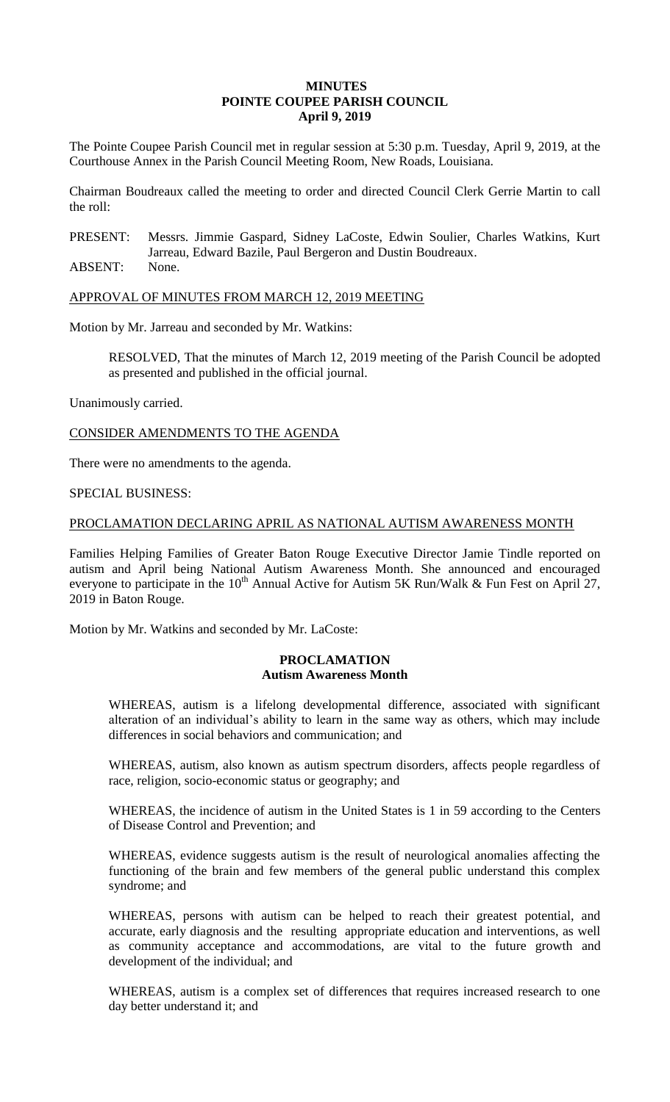# **MINUTES POINTE COUPEE PARISH COUNCIL April 9, 2019**

The Pointe Coupee Parish Council met in regular session at 5:30 p.m. Tuesday, April 9, 2019, at the Courthouse Annex in the Parish Council Meeting Room, New Roads, Louisiana.

Chairman Boudreaux called the meeting to order and directed Council Clerk Gerrie Martin to call the roll:

PRESENT: Messrs. Jimmie Gaspard, Sidney LaCoste, Edwin Soulier, Charles Watkins, Kurt Jarreau, Edward Bazile, Paul Bergeron and Dustin Boudreaux.

ABSENT: None.

APPROVAL OF MINUTES FROM MARCH 12, 2019 MEETING

Motion by Mr. Jarreau and seconded by Mr. Watkins:

RESOLVED, That the minutes of March 12, 2019 meeting of the Parish Council be adopted as presented and published in the official journal.

Unanimously carried.

CONSIDER AMENDMENTS TO THE AGENDA

There were no amendments to the agenda.

SPECIAL BUSINESS:

# PROCLAMATION DECLARING APRIL AS NATIONAL AUTISM AWARENESS MONTH

Families Helping Families of Greater Baton Rouge Executive Director Jamie Tindle reported on autism and April being National Autism Awareness Month. She announced and encouraged everyone to participate in the 10<sup>th</sup> Annual Active for Autism 5K Run/Walk & Fun Fest on April 27, 2019 in Baton Rouge.

Motion by Mr. Watkins and seconded by Mr. LaCoste:

### **PROCLAMATION Autism Awareness Month**

WHEREAS, autism is a lifelong developmental difference, associated with significant alteration of an individual's ability to learn in the same way as others, which may include differences in social behaviors and communication; and

WHEREAS, autism, also known as autism spectrum disorders, affects people regardless of race, religion, socio-economic status or geography; and

WHEREAS, the incidence of autism in the United States is 1 in 59 according to the Centers of Disease Control and Prevention; and

WHEREAS, evidence suggests autism is the result of neurological anomalies affecting the functioning of the brain and few members of the general public understand this complex syndrome; and

WHEREAS, persons with autism can be helped to reach their greatest potential, and accurate, early diagnosis and the resulting appropriate education and interventions, as well as community acceptance and accommodations, are vital to the future growth and development of the individual; and

WHEREAS, autism is a complex set of differences that requires increased research to one day better understand it; and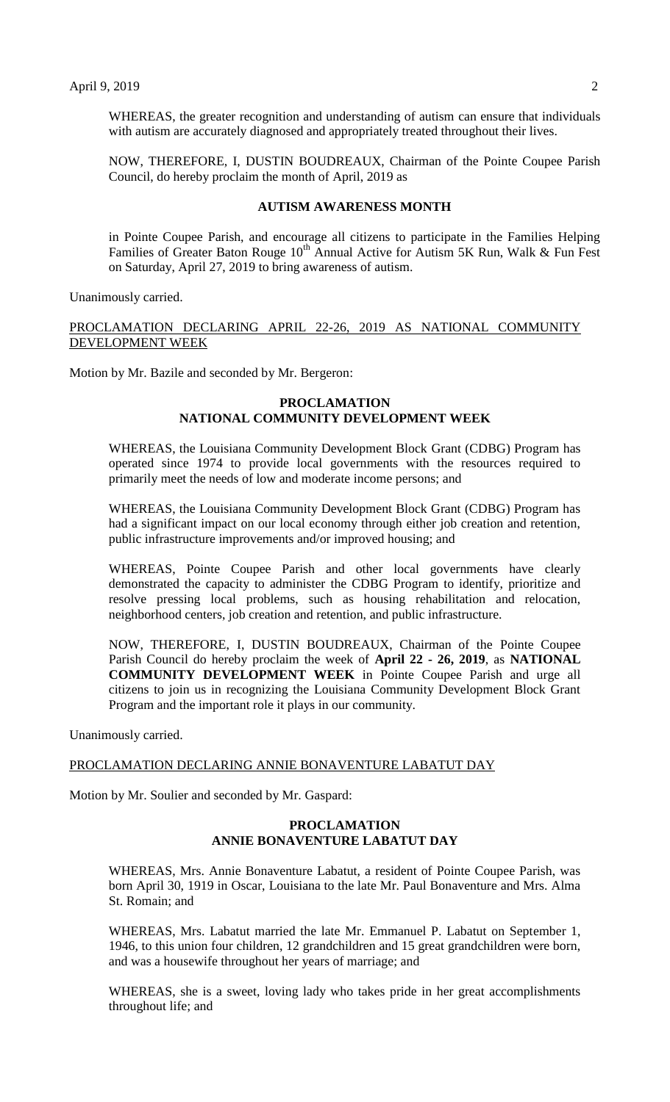WHEREAS, the greater recognition and understanding of autism can ensure that individuals with autism are accurately diagnosed and appropriately treated throughout their lives.

NOW, THEREFORE, I, DUSTIN BOUDREAUX, Chairman of the Pointe Coupee Parish Council, do hereby proclaim the month of April, 2019 as

## **AUTISM AWARENESS MONTH**

in Pointe Coupee Parish, and encourage all citizens to participate in the Families Helping Families of Greater Baton Rouge  $10^{th}$  Annual Active for Autism 5K Run, Walk & Fun Fest on Saturday, April 27, 2019 to bring awareness of autism.

Unanimously carried.

PROCLAMATION DECLARING APRIL 22-26, 2019 AS NATIONAL COMMUNITY DEVELOPMENT WEEK

Motion by Mr. Bazile and seconded by Mr. Bergeron:

# **PROCLAMATION NATIONAL COMMUNITY DEVELOPMENT WEEK**

WHEREAS, the Louisiana Community Development Block Grant (CDBG) Program has operated since 1974 to provide local governments with the resources required to primarily meet the needs of low and moderate income persons; and

WHEREAS, the Louisiana Community Development Block Grant (CDBG) Program has had a significant impact on our local economy through either job creation and retention, public infrastructure improvements and/or improved housing; and

WHEREAS, Pointe Coupee Parish and other local governments have clearly demonstrated the capacity to administer the CDBG Program to identify, prioritize and resolve pressing local problems, such as housing rehabilitation and relocation, neighborhood centers, job creation and retention, and public infrastructure.

NOW, THEREFORE, I, DUSTIN BOUDREAUX, Chairman of the Pointe Coupee Parish Council do hereby proclaim the week of **April 22 - 26, 2019**, as **NATIONAL COMMUNITY DEVELOPMENT WEEK** in Pointe Coupee Parish and urge all citizens to join us in recognizing the Louisiana Community Development Block Grant Program and the important role it plays in our community.

Unanimously carried.

# PROCLAMATION DECLARING ANNIE BONAVENTURE LABATUT DAY

Motion by Mr. Soulier and seconded by Mr. Gaspard:

# **PROCLAMATION ANNIE BONAVENTURE LABATUT DAY**

WHEREAS, Mrs. Annie Bonaventure Labatut, a resident of Pointe Coupee Parish, was born April 30, 1919 in Oscar, Louisiana to the late Mr. Paul Bonaventure and Mrs. Alma St. Romain; and

WHEREAS, Mrs. Labatut married the late Mr. Emmanuel P. Labatut on September 1, 1946, to this union four children, 12 grandchildren and 15 great grandchildren were born, and was a housewife throughout her years of marriage; and

WHEREAS, she is a sweet, loving lady who takes pride in her great accomplishments throughout life; and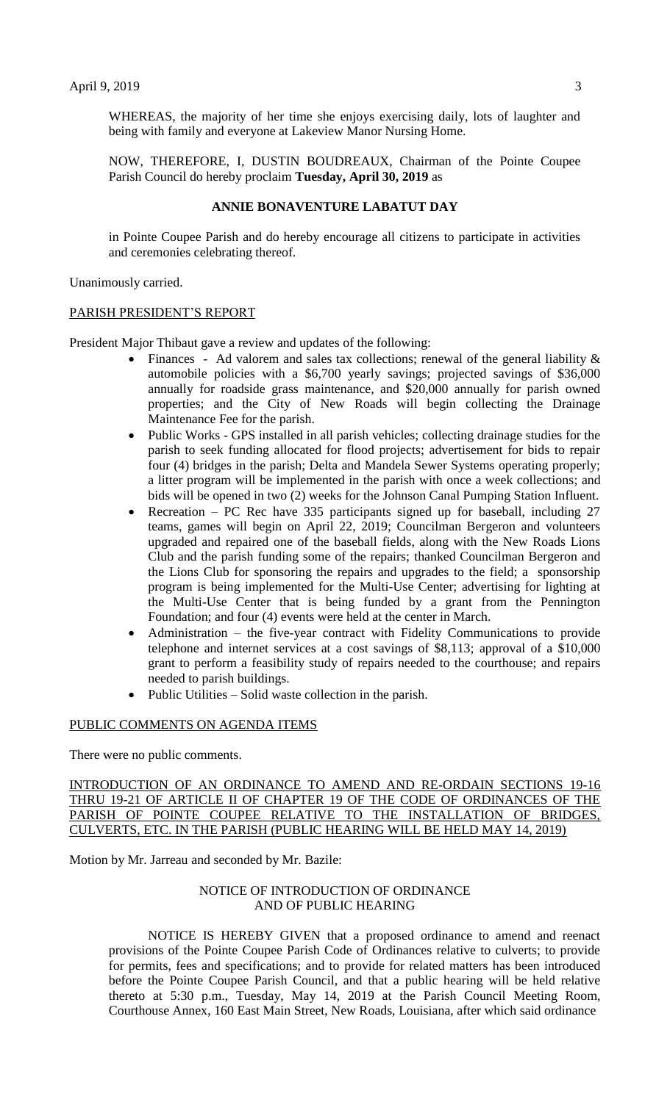WHEREAS, the majority of her time she enjoys exercising daily, lots of laughter and being with family and everyone at Lakeview Manor Nursing Home.

NOW, THEREFORE, I, DUSTIN BOUDREAUX, Chairman of the Pointe Coupee Parish Council do hereby proclaim **Tuesday, April 30, 2019** as

# **ANNIE BONAVENTURE LABATUT DAY**

in Pointe Coupee Parish and do hereby encourage all citizens to participate in activities and ceremonies celebrating thereof.

Unanimously carried.

#### PARISH PRESIDENT'S REPORT

President Major Thibaut gave a review and updates of the following:

- Finances Ad valorem and sales tax collections; renewal of the general liability  $\&$ automobile policies with a \$6,700 yearly savings; projected savings of \$36,000 annually for roadside grass maintenance, and \$20,000 annually for parish owned properties; and the City of New Roads will begin collecting the Drainage Maintenance Fee for the parish.
- Public Works GPS installed in all parish vehicles; collecting drainage studies for the parish to seek funding allocated for flood projects; advertisement for bids to repair four (4) bridges in the parish; Delta and Mandela Sewer Systems operating properly; a litter program will be implemented in the parish with once a week collections; and bids will be opened in two (2) weeks for the Johnson Canal Pumping Station Influent.
- Recreation PC Rec have 335 participants signed up for baseball, including 27 teams, games will begin on April 22, 2019; Councilman Bergeron and volunteers upgraded and repaired one of the baseball fields, along with the New Roads Lions Club and the parish funding some of the repairs; thanked Councilman Bergeron and the Lions Club for sponsoring the repairs and upgrades to the field; a sponsorship program is being implemented for the Multi-Use Center; advertising for lighting at the Multi-Use Center that is being funded by a grant from the Pennington Foundation; and four (4) events were held at the center in March.
- Administration the five-year contract with Fidelity Communications to provide telephone and internet services at a cost savings of \$8,113; approval of a \$10,000 grant to perform a feasibility study of repairs needed to the courthouse; and repairs needed to parish buildings.
- Public Utilities Solid waste collection in the parish.

# PUBLIC COMMENTS ON AGENDA ITEMS

There were no public comments.

INTRODUCTION OF AN ORDINANCE TO AMEND AND RE-ORDAIN SECTIONS 19-16 THRU 19-21 OF ARTICLE II OF CHAPTER 19 OF THE CODE OF ORDINANCES OF THE PARISH OF POINTE COUPEE RELATIVE TO THE INSTALLATION OF BRIDGES, CULVERTS, ETC. IN THE PARISH (PUBLIC HEARING WILL BE HELD MAY 14, 2019)

Motion by Mr. Jarreau and seconded by Mr. Bazile:

# NOTICE OF INTRODUCTION OF ORDINANCE AND OF PUBLIC HEARING

NOTICE IS HEREBY GIVEN that a proposed ordinance to amend and reenact provisions of the Pointe Coupee Parish Code of Ordinances relative to culverts; to provide for permits, fees and specifications; and to provide for related matters has been introduced before the Pointe Coupee Parish Council, and that a public hearing will be held relative thereto at 5:30 p.m., Tuesday, May 14, 2019 at the Parish Council Meeting Room, Courthouse Annex, 160 East Main Street, New Roads, Louisiana, after which said ordinance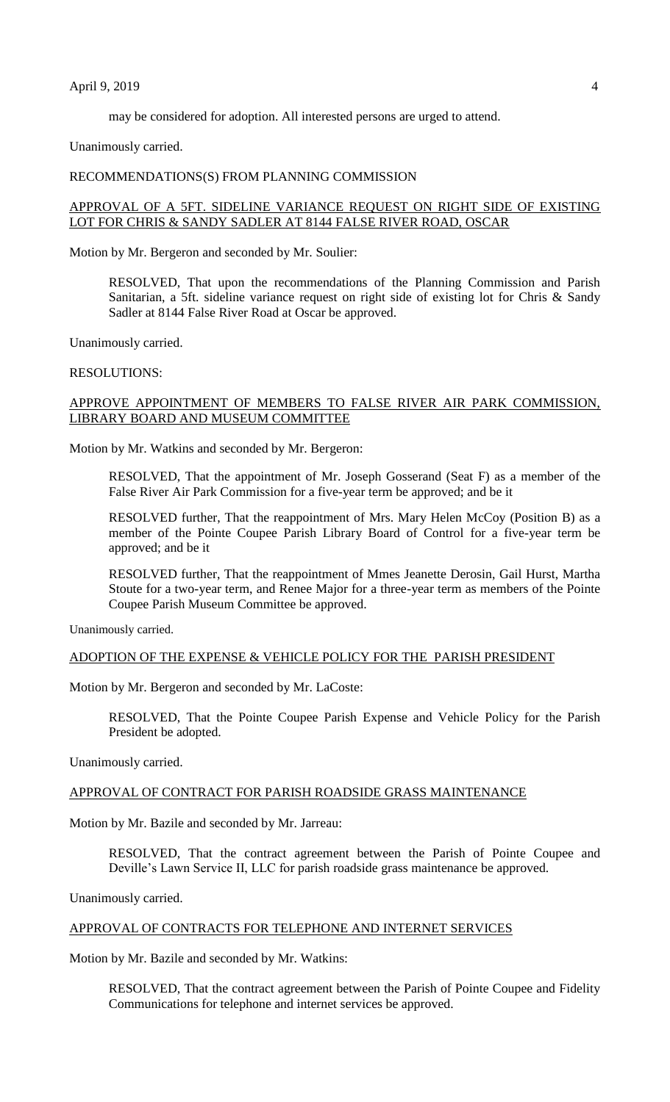### April 9, 2019 4

may be considered for adoption. All interested persons are urged to attend.

Unanimously carried.

#### RECOMMENDATIONS(S) FROM PLANNING COMMISSION

# APPROVAL OF A 5FT. SIDELINE VARIANCE REQUEST ON RIGHT SIDE OF EXISTING LOT FOR CHRIS & SANDY SADLER AT 8144 FALSE RIVER ROAD, OSCAR

Motion by Mr. Bergeron and seconded by Mr. Soulier:

RESOLVED, That upon the recommendations of the Planning Commission and Parish Sanitarian, a 5ft. sideline variance request on right side of existing lot for Chris & Sandy Sadler at 8144 False River Road at Oscar be approved.

Unanimously carried.

RESOLUTIONS:

# APPROVE APPOINTMENT OF MEMBERS TO FALSE RIVER AIR PARK COMMISSION, LIBRARY BOARD AND MUSEUM COMMITTEE

Motion by Mr. Watkins and seconded by Mr. Bergeron:

RESOLVED, That the appointment of Mr. Joseph Gosserand (Seat F) as a member of the False River Air Park Commission for a five-year term be approved; and be it

RESOLVED further, That the reappointment of Mrs. Mary Helen McCoy (Position B) as a member of the Pointe Coupee Parish Library Board of Control for a five-year term be approved; and be it

RESOLVED further, That the reappointment of Mmes Jeanette Derosin, Gail Hurst, Martha Stoute for a two-year term, and Renee Major for a three-year term as members of the Pointe Coupee Parish Museum Committee be approved.

Unanimously carried.

# ADOPTION OF THE EXPENSE & VEHICLE POLICY FOR THE PARISH PRESIDENT

Motion by Mr. Bergeron and seconded by Mr. LaCoste:

RESOLVED, That the Pointe Coupee Parish Expense and Vehicle Policy for the Parish President be adopted.

Unanimously carried.

#### APPROVAL OF CONTRACT FOR PARISH ROADSIDE GRASS MAINTENANCE

Motion by Mr. Bazile and seconded by Mr. Jarreau:

RESOLVED, That the contract agreement between the Parish of Pointe Coupee and Deville's Lawn Service II, LLC for parish roadside grass maintenance be approved.

Unanimously carried.

# APPROVAL OF CONTRACTS FOR TELEPHONE AND INTERNET SERVICES

Motion by Mr. Bazile and seconded by Mr. Watkins:

RESOLVED, That the contract agreement between the Parish of Pointe Coupee and Fidelity Communications for telephone and internet services be approved.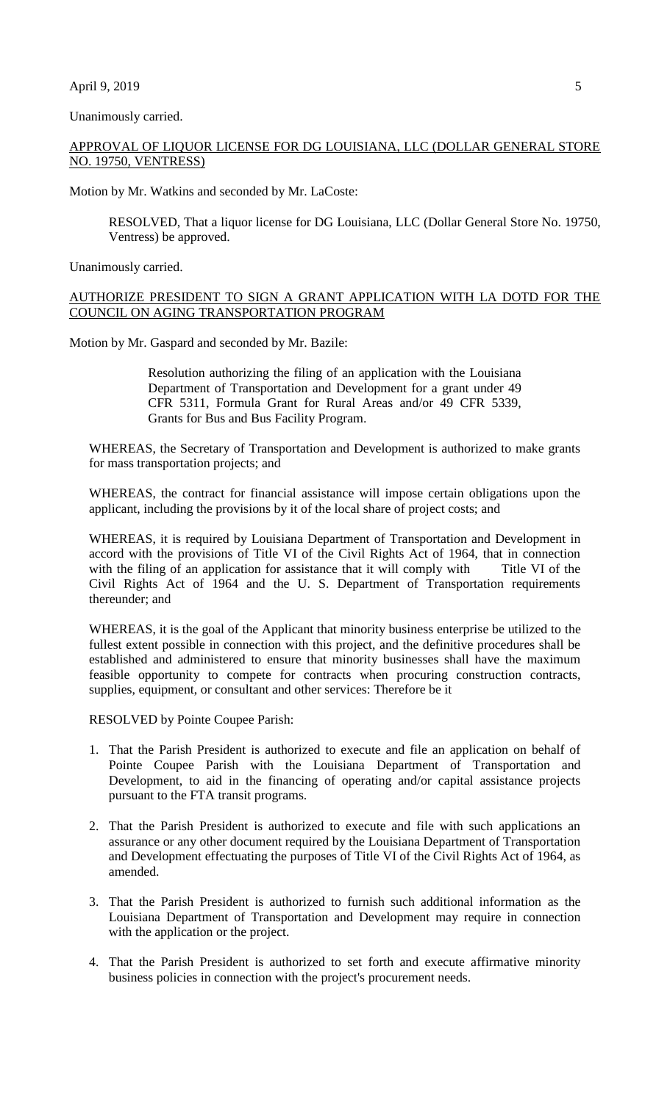### April 9, 2019 5

Unanimously carried.

# APPROVAL OF LIQUOR LICENSE FOR DG LOUISIANA, LLC (DOLLAR GENERAL STORE NO. 19750, VENTRESS)

Motion by Mr. Watkins and seconded by Mr. LaCoste:

RESOLVED, That a liquor license for DG Louisiana, LLC (Dollar General Store No. 19750, Ventress) be approved.

Unanimously carried.

# AUTHORIZE PRESIDENT TO SIGN A GRANT APPLICATION WITH LA DOTD FOR THE COUNCIL ON AGING TRANSPORTATION PROGRAM

Motion by Mr. Gaspard and seconded by Mr. Bazile:

Resolution authorizing the filing of an application with the Louisiana Department of Transportation and Development for a grant under 49 CFR 5311, Formula Grant for Rural Areas and/or 49 CFR 5339, Grants for Bus and Bus Facility Program.

WHEREAS, the Secretary of Transportation and Development is authorized to make grants for mass transportation projects; and

WHEREAS, the contract for financial assistance will impose certain obligations upon the applicant, including the provisions by it of the local share of project costs; and

WHEREAS, it is required by Louisiana Department of Transportation and Development in accord with the provisions of Title VI of the Civil Rights Act of 1964, that in connection with the filing of an application for assistance that it will comply with Title VI of the Civil Rights Act of 1964 and the U. S. Department of Transportation requirements thereunder; and

WHEREAS, it is the goal of the Applicant that minority business enterprise be utilized to the fullest extent possible in connection with this project, and the definitive procedures shall be established and administered to ensure that minority businesses shall have the maximum feasible opportunity to compete for contracts when procuring construction contracts, supplies, equipment, or consultant and other services: Therefore be it

RESOLVED by Pointe Coupee Parish:

- 1. That the Parish President is authorized to execute and file an application on behalf of Pointe Coupee Parish with the Louisiana Department of Transportation and Development, to aid in the financing of operating and/or capital assistance projects pursuant to the FTA transit programs.
- 2. That the Parish President is authorized to execute and file with such applications an assurance or any other document required by the Louisiana Department of Transportation and Development effectuating the purposes of Title VI of the Civil Rights Act of 1964, as amended.
- 3. That the Parish President is authorized to furnish such additional information as the Louisiana Department of Transportation and Development may require in connection with the application or the project.
- 4. That the Parish President is authorized to set forth and execute affirmative minority business policies in connection with the project's procurement needs.